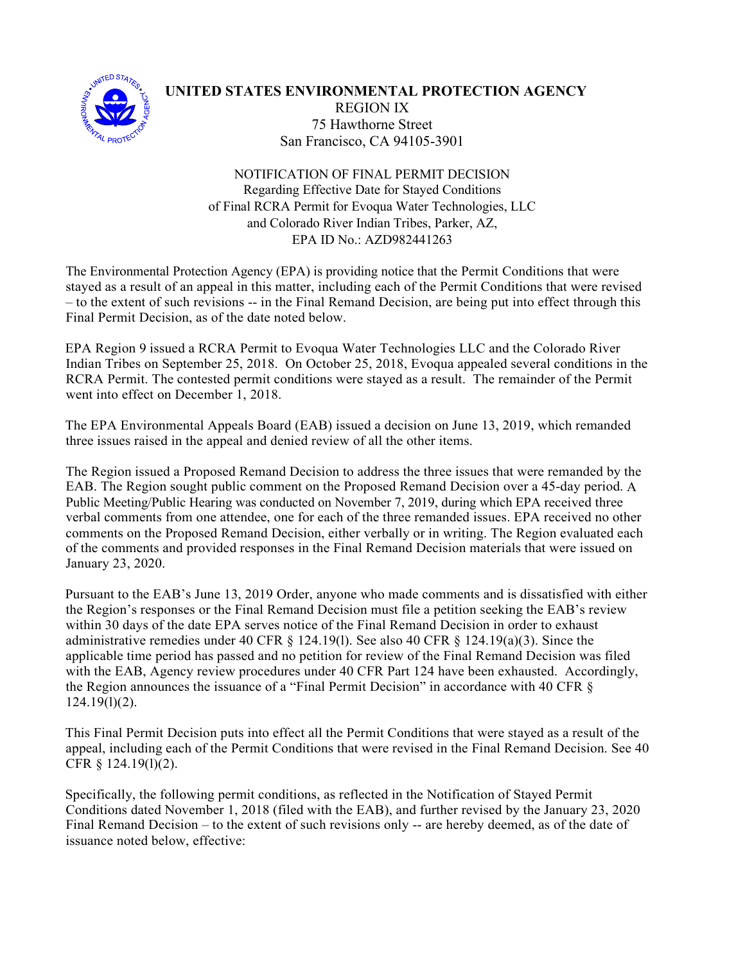

## **UNITED STATES ENVIRONMENTAL PROTECTION AGENCY** REGION IX 75 Hawthorne Street San Francisco, CA 94105-3901

NOTIFICATION OF FINAL PERMIT DECISION Regarding Effective Date for Stayed Conditions of Final RCRA Permit for Evoqua Water Technologies, LLC and Colorado River Indian Tribes, Parker, AZ, EPA ID No.: AZD982441263

The Environmental Protection Agency (EPA) is providing notice that the Permit Conditions that were stayed as a result of an appeal in this matter, including each of the Permit Conditions that were revised – to the extent of such revisions -- in the Final Remand Decision, are being put into effect through this Final Permit Decision, as of the date noted below.

EPA Region 9 issued a RCRA Permit to Evoqua Water Technologies LLC and the Colorado River Indian Tribes on September 25, 2018. On October 25, 2018, Evoqua appealed several conditions in the RCRA Permit. The contested permit conditions were stayed as a result. The remainder of the Permit went into effect on December 1, 2018.

The EPA Environmental Appeals Board (EAB) issued a decision on June 13, 2019, which remanded three issues raised in the appeal and denied review of all the other items.

The Region issued a Proposed Remand Decision to address the three issues that were remanded by the EAB. The Region sought public comment on the Proposed Remand Decision over a 45-day period. A Public Meeting/Public Hearing was conducted on November 7, 2019, during which EPA received three verbal comments from one attendee, one for each of the three remanded issues. EPA received no other comments on the Proposed Remand Decision, either verbally or in writing. The Region evaluated each of the comments and provided responses in the Final Remand Decision materials that were issued on January 23, 2020.

Pursuant to the EAB's June 13, 2019 Order, anyone who made comments and is dissatisfied with either the Region's responses or the Final Remand Decision must file a petition seeking the EAB's review within 30 days of the date EPA serves notice of the Final Remand Decision in order to exhaust administrative remedies under 40 CFR § 124.19(l). See also 40 CFR § 124.19(a)(3). Since the applicable time period has passed and no petition for review of the Final Remand Decision was filed with the EAB, Agency review procedures under 40 CFR Part 124 have been exhausted. Accordingly, the Region announces the issuance of a "Final Permit Decision" in accordance with 40 CFR §  $124.19(1)(2)$ .

This Final Permit Decision puts into effect all the Permit Conditions that were stayed as a result of the appeal, including each of the Permit Conditions that were revised in the Final Remand Decision. See 40 CFR § 124.19(l)(2).

Specifically, the following permit conditions, as reflected in the Notification of Stayed Permit Conditions dated November 1, 2018 (filed with the EAB), and further revised by the January 23, 2020 Final Remand Decision – to the extent of such revisions only -- are hereby deemed, as of the date of issuance noted below, effective: